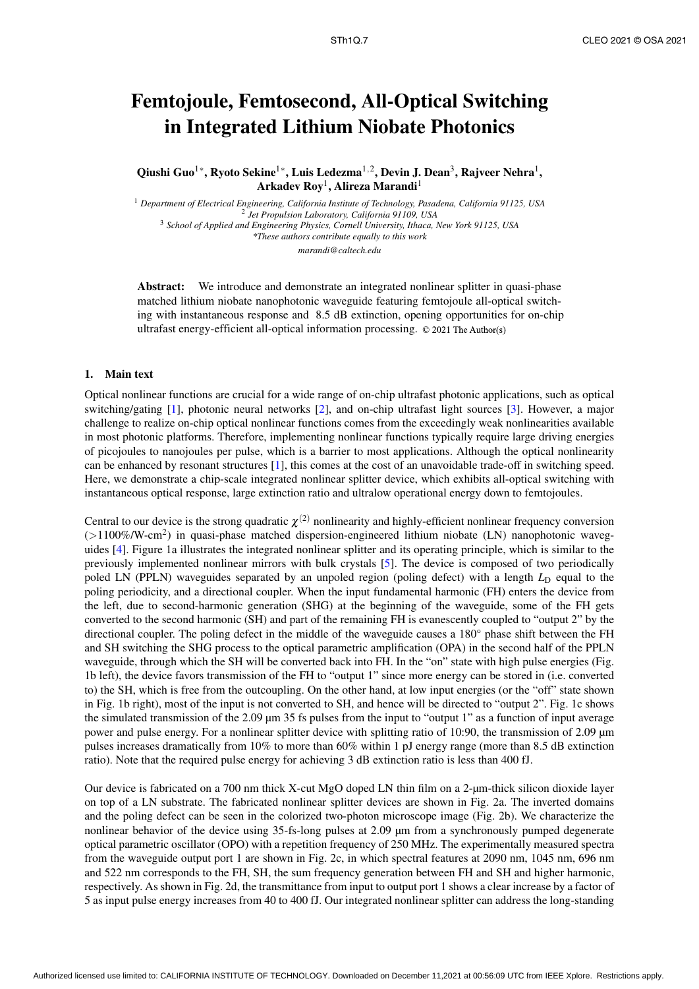## Femtojoule, Femtosecond, All-Optical Switching in Integrated Lithium Niobate Photonics

Qiushi Guo<sup>1</sup>\*, Ryoto Sekine<sup>1</sup>\*, Luis Ledezma<sup>1,2</sup>, Devin J. Dean<sup>3</sup>, Rajveer Nehra<sup>1</sup>, Arkadev  ${\rm Roy^1, Alireza~Marandi^1}$ 

<sup>1</sup> *Department of Electrical Engineering, California Institute of Technology, Pasadena, California 91125, USA* 2 *Jet Propulsion Laboratory, California 91109, USA* <sup>3</sup> *School of Applied and Engineering Physics, Cornell University, Ithaca, New York 91125, USA \*These authors contribute equally to this work marandi@caltech.edu*

Abstract: We introduce and demonstrate an integrated nonlinear splitter in quasi-phase matched lithium niobate nanophotonic waveguide featuring femtojoule all-optical switching with instantaneous response and 8.5 dB extinction, opening opportunities for on-chip ultrafast energy-efficient all-optical information processing. © 2021 The Author(s)

## 1. Main text

Optical nonlinear functions are crucial for a wide range of on-chip ultrafast photonic applications, such as optical switching/gating [1], photonic neural networks [2], and on-chip ultrafast light sources [3]. However, a major challenge to realize on-chip optical nonlinear functions comes from the exceedingly weak nonlinearities available in most photonic platforms. Therefore, implementing nonlinear functions typically require large driving energies of picojoules to nanojoules per pulse, which is a barrier to most applications. Although the optical nonlinearity can be enhanced by resonant structures [1], this comes at the cost of an unavoidable trade-off in switching speed. Here, we demonstrate a chip-scale integrated nonlinear splitter device, which exhibits all-optical switching with instantaneous optical response, large extinction ratio and ultralow operational energy down to femtojoules.

Central to our device is the strong quadratic  $\chi^{(2)}$  nonlinearity and highly-efficient nonlinear frequency conversion (>1100%/W-cm<sup>2</sup>) in quasi-phase matched dispersion-engineered lithium niobate (LN) nanophotonic waveguides [4]. Figure 1a illustrates the integrated nonlinear splitter and its operating principle, which is similar to the previously implemented nonlinear mirrors with bulk crystals [5]. The device is composed of two periodically poled LN (PPLN) waveguides separated by an unpoled region (poling defect) with a length  $L<sub>D</sub>$  equal to the poling periodicity, and a directional coupler. When the input fundamental harmonic (FH) enters the device from the left, due to second-harmonic generation (SHG) at the beginning of the waveguide, some of the FH gets converted to the second harmonic (SH) and part of the remaining FH is evanescently coupled to "output 2" by the directional coupler. The poling defect in the middle of the waveguide causes a 180° phase shift between the FH and SH switching the SHG process to the optical parametric amplification (OPA) in the second half of the PPLN waveguide, through which the SH will be converted back into FH. In the "on" state with high pulse energies (Fig. 1b left), the device favors transmission of the FH to "output 1" since more energy can be stored in (i.e. converted to) the SH, which is free from the outcoupling. On the other hand, at low input energies (or the "off" state shown in Fig. 1b right), most of the input is not converted to SH, and hence will be directed to "output 2". Fig. 1c shows the simulated transmission of the 2.09  $\mu$ m 35 fs pulses from the input to "output 1" as a function of input average power and pulse energy. For a nonlinear splitter device with splitting ratio of 10:90, the transmission of 2.09 µm pulses increases dramatically from 10% to more than 60% within 1 pJ energy range (more than 8.5 dB extinction ratio). Note that the required pulse energy for achieving 3 dB extinction ratio is less than 400 fJ.

Our device is fabricated on a 700 nm thick X-cut MgO doped LN thin film on a 2-µm-thick silicon dioxide layer on top of a LN substrate. The fabricated nonlinear splitter devices are shown in Fig. 2a. The inverted domains and the poling defect can be seen in the colorized two-photon microscope image (Fig. 2b). We characterize the nonlinear behavior of the device using 35-fs-long pulses at 2.09 µm from a synchronously pumped degenerate optical parametric oscillator (OPO) with a repetition frequency of 250 MHz. The experimentally measured spectra from the waveguide output port 1 are shown in Fig. 2c, in which spectral features at 2090 nm, 1045 nm, 696 nm and 522 nm corresponds to the FH, SH, the sum frequency generation between FH and SH and higher harmonic, respectively. As shown in Fig. 2d, the transmittance from input to output port 1 shows a clear increase by a factor of 5 as input pulse energy increases from 40 to 400 fJ. Our integrated nonlinear splitter can address the long-standing